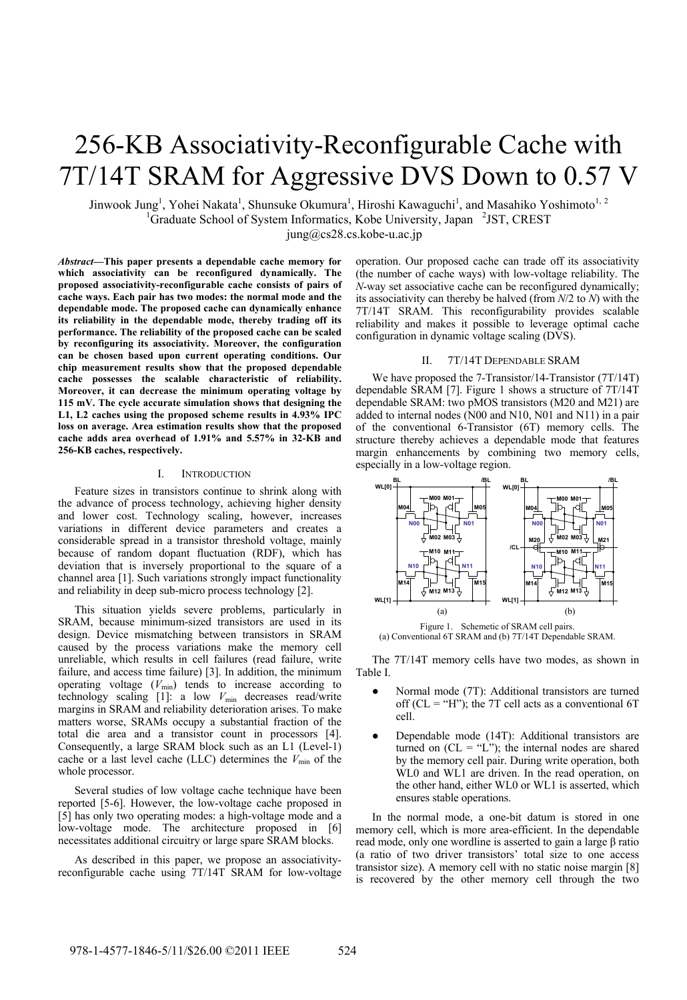# 256-KB Associativity-Reconfigurable Cache with 7T/14T SRAM for Aggressive DVS Down to 0.57 V

Jinwook Jung<sup>1</sup>, Yohei Nakata<sup>1</sup>, Shunsuke Okumura<sup>1</sup>, Hiroshi Kawaguchi<sup>1</sup>, and Masahiko Yoshimoto<sup>1, 2</sup> <sup>1</sup>Graduate School of System Informatics, Kobe University, Japan <sup>2</sup>JST, CREST jung@cs28.cs.kobe-u.ac.jp

*Abstract***—This paper presents a dependable cache memory for which associativity can be reconfigured dynamically. The proposed associativity-reconfigurable cache consists of pairs of cache ways. Each pair has two modes: the normal mode and the dependable mode. The proposed cache can dynamically enhance its reliability in the dependable mode, thereby trading off its performance. The reliability of the proposed cache can be scaled by reconfiguring its associativity. Moreover, the configuration can be chosen based upon current operating conditions. Our chip measurement results show that the proposed dependable cache possesses the scalable characteristic of reliability. Moreover, it can decrease the minimum operating voltage by 115 mV. The cycle accurate simulation shows that designing the L1, L2 caches using the proposed scheme results in 4.93% IPC loss on average. Area estimation results show that the proposed cache adds area overhead of 1.91% and 5.57% in 32-KB and 256-KB caches, respectively.** 

# I. INTRODUCTION

Feature sizes in transistors continue to shrink along with the advance of process technology, achieving higher density and lower cost. Technology scaling, however, increases variations in different device parameters and creates a considerable spread in a transistor threshold voltage, mainly because of random dopant fluctuation (RDF), which has deviation that is inversely proportional to the square of a channel area [1]. Such variations strongly impact functionality and reliability in deep sub-micro process technology [2].

This situation yields severe problems, particularly in SRAM, because minimum-sized transistors are used in its design. Device mismatching between transistors in SRAM caused by the process variations make the memory cell unreliable, which results in cell failures (read failure, write failure, and access time failure) [3]. In addition, the minimum operating voltage  $(V_{\text{min}})$  tends to increase according to technology scaling  $[1]$ : a low  $V_{\text{min}}$  decreases read/write margins in SRAM and reliability deterioration arises. To make matters worse, SRAMs occupy a substantial fraction of the total die area and a transistor count in processors [4]. Consequently, a large SRAM block such as an L1 (Level-1) cache or a last level cache (LLC) determines the  $V_{\text{min}}$  of the whole processor.

Several studies of low voltage cache technique have been reported [5-6]. However, the low-voltage cache proposed in [5] has only two operating modes: a high-voltage mode and a low-voltage mode. The architecture proposed in [6] necessitates additional circuitry or large spare SRAM blocks.

As described in this paper, we propose an associativityreconfigurable cache using 7T/14T SRAM for low-voltage

operation. Our proposed cache can trade off its associativity (the number of cache ways) with low-voltage reliability. The *N*-way set associative cache can be reconfigured dynamically; its associativity can thereby be halved (from *N*/2 to *N*) with the 7T/14T SRAM. This reconfigurability provides scalable reliability and makes it possible to leverage optimal cache configuration in dynamic voltage scaling (DVS).

#### II. 7T/14T DEPENDABLE SRAM

We have proposed the 7-Transistor/14-Transistor (7T/14T) dependable SRAM [7]. Figure 1 shows a structure of 7T/14T dependable SRAM: two pMOS transistors (M20 and M21) are added to internal nodes (N00 and N10, N01 and N11) in a pair of the conventional 6-Transistor (6T) memory cells. The structure thereby achieves a dependable mode that features margin enhancements by combining two memory cells, especially in a low-voltage region.



The 7T/14T memory cells have two modes, as shown in Table I.

- Normal mode (7T): Additional transistors are turned off ( $CL = "H"$ ); the 7T cell acts as a conventional 6T cell.
- Dependable mode (14T): Additional transistors are turned on  $(CL = "L")$ ; the internal nodes are shared by the memory cell pair. During write operation, both WL0 and WL1 are driven. In the read operation, on the other hand, either WL0 or WL1 is asserted, which ensures stable operations.

In the normal mode, a one-bit datum is stored in one memory cell, which is more area-efficient. In the dependable read mode, only one wordline is asserted to gain a large β ratio (a ratio of two driver transistors' total size to one access transistor size). A memory cell with no static noise margin [8] is recovered by the other memory cell through the two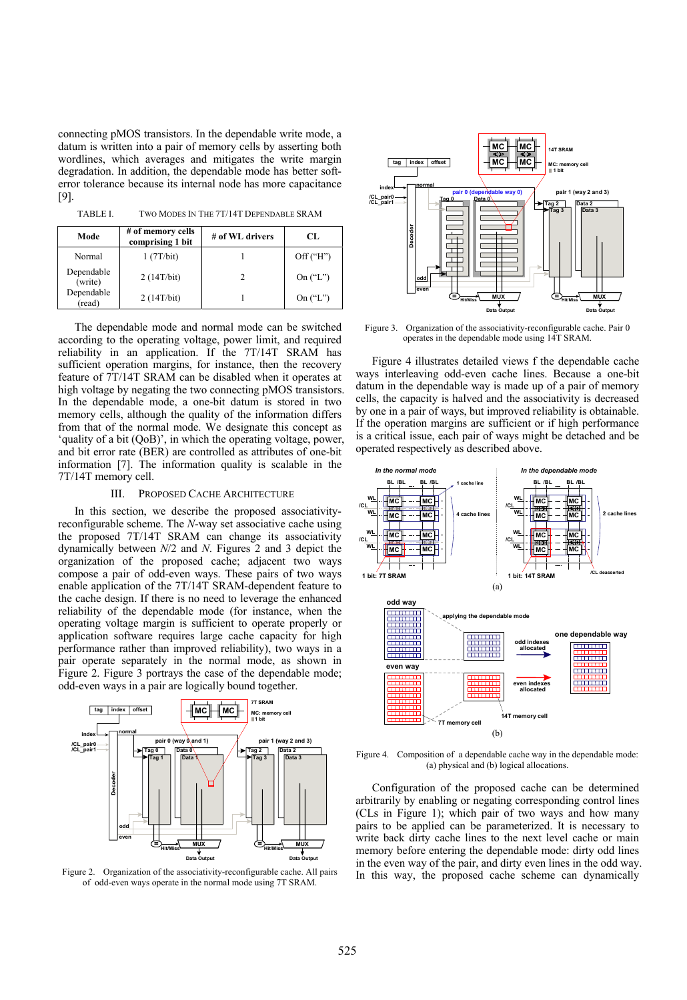connecting pMOS transistors. In the dependable write mode, a datum is written into a pair of memory cells by asserting both wordlines, which averages and mitigates the write margin degradation. In addition, the dependable mode has better softerror tolerance because its internal node has more capacitance [9].

TABLE I. TWO MODES IN THE 7T/14T DEPENDABLE SRAM

| Mode                  | # of memory cells<br>comprising 1 bit | # of WL drivers | CL.        |
|-----------------------|---------------------------------------|-----------------|------------|
| Normal                | 1(7T/bit)                             |                 | Off('H")   |
| Dependable<br>(write) | 2(14T/bit)                            |                 | On $("L")$ |
| Dependable<br>(read)  | 2(14T/bit)                            |                 | On $("L")$ |

The dependable mode and normal mode can be switched according to the operating voltage, power limit, and required reliability in an application. If the 7T/14T SRAM has sufficient operation margins, for instance, then the recovery feature of 7T/14T SRAM can be disabled when it operates at high voltage by negating the two connecting pMOS transistors. In the dependable mode, a one-bit datum is stored in two memory cells, although the quality of the information differs from that of the normal mode. We designate this concept as 'quality of a bit (QoB)', in which the operating voltage, power, and bit error rate (BER) are controlled as attributes of one-bit information [7]. The information quality is scalable in the 7T/14T memory cell.

#### III. PROPOSED CACHE ARCHITECTURE

In this section, we describe the proposed associativityreconfigurable scheme. The *N*-way set associative cache using the proposed 7T/14T SRAM can change its associativity dynamically between *N*/2 and *N*. Figures 2 and 3 depict the organization of the proposed cache; adjacent two ways compose a pair of odd-even ways. These pairs of two ways enable application of the 7T/14T SRAM-dependent feature to the cache design. If there is no need to leverage the enhanced reliability of the dependable mode (for instance, when the operating voltage margin is sufficient to operate properly or application software requires large cache capacity for high performance rather than improved reliability), two ways in a pair operate separately in the normal mode, as shown in Figure 2. Figure 3 portrays the case of the dependable mode; odd-even ways in a pair are logically bound together.



Figure 2. Organization of the associativity-reconfigurable cache. All pairs of odd-even ways operate in the normal mode using 7T SRAM.



Figure 3. Organization of the associativity-reconfigurable cache. Pair 0 operates in the dependable mode using 14T SRAM.

Figure 4 illustrates detailed views f the dependable cache ways interleaving odd-even cache lines. Because a one-bit dat um in the dependable way is made up of a pair of memory cells, the capacity is halved and the associativity is decreased by one in a pair of ways, but improved reliability is obtainable. If the operation margins are sufficient or if high performance is a critical issue, each pair of ways might be detached and be operated respectively as described above.



Figure 4. Composition of a dependable cache way in the dependable mode:  $(a)$  physical and  $(b)$  logical allocations.

arbitrarily by enabling or negating corresponding control lines (CL s in Figure 1); which pair of two ways and how many Configuration of the proposed cache can be determined pairs to be applied can be parameterized. It is necessary to write back dirty cache lines to the next level cache or main memory before entering the dependable mode: dirty odd lines in the even way of the pair, and dirty even lines in the odd way. In this way, the proposed cache scheme can dynamically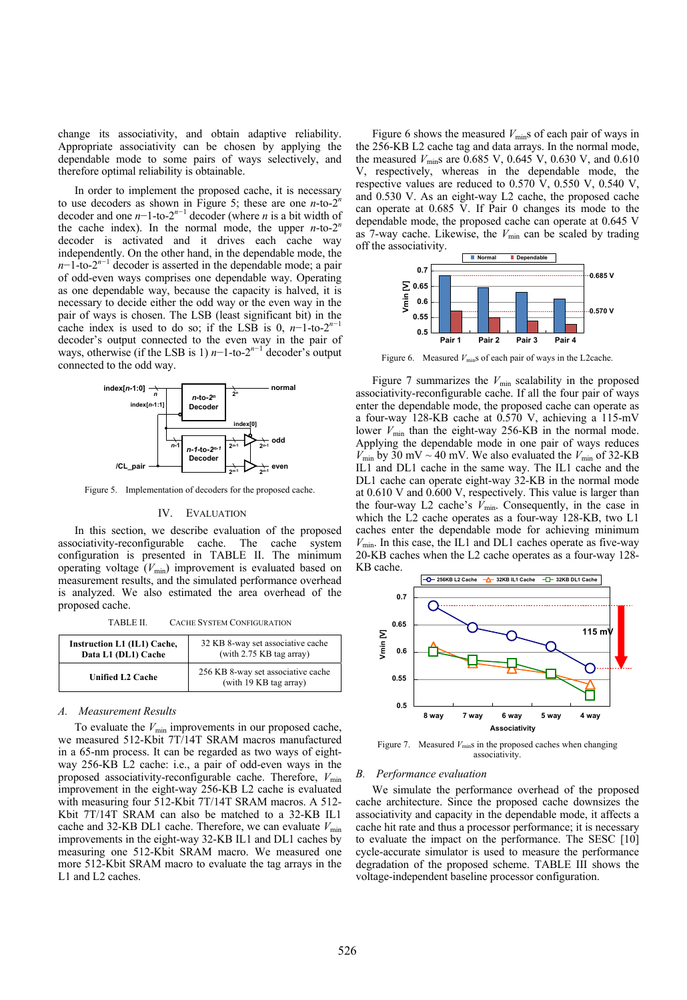change its associativity, and obtain adaptive reliability. Appropriate associativity can be chosen by applying the dependable mode to some pairs of ways selectively, and therefore optimal reliability is obtainable.

In order to implement the proposed cache, it is necessary to use decoders as shown in Figure 5; these are one *n*-to-2*<sup>n</sup>* decoder and one *n*−1-to-2*<sup>n</sup>−*<sup>1</sup> decoder (where *n* is a bit width of the cache index). In the normal mode, the upper  $n$ -to-2<sup>n</sup> decoder is activated and it drives each cache way independently. On the other hand, in the dependable mode, the *n*−1-to-2<sup>*n*−1</sup> decoder is asserted in the dependable mode; a pair of odd-even ways comprises one dependable way. Operating as one dependable way, because the capacity is halved, it is necessary to decide either the odd way or the even way in the pair of ways is chosen. The LSB (least significant bit) in the cache index is used to do so; if the LSB is 0,  $n-1$ -to-2<sup>n−1</sup> decoder's output connected to the even way in the pair of ways, otherwise (if the LSB is 1) *n*−1-to-2<sup>*n*-1</sup> decoder's output connected to the odd way.



Figure 5. Implementation of decoders for the proposed cache.

#### IV. EVALUATION

In this section, we describe evaluation of the proposed associativity-reconfigurable cache. The cache system configuration is presented in TABLE II. The minimum operating voltage  $(V_{\text{min}})$  improvement is evaluated based on measurement results, and the simulated performance overhead is analyzed. We also estimated the area overhead of the proposed cache.

TABLE II. CACHE SYSTEM CONFIGURATION

| Instruction L1 (IL1) Cache, | 32 KB 8-way set associative cache                            |  |
|-----------------------------|--------------------------------------------------------------|--|
| Data L1 (DL1) Cache         | (with $2.75$ KB tag array)                                   |  |
| <b>Unified L2 Cache</b>     | 256 KB 8-way set associative cache<br>(with 19 KB tag array) |  |

#### $A.$  *Measurement Results*

To evaluate the  $V_{\text{min}}$  improvements in our proposed cache, we measured 512-Kbit 7T/14T SRAM macros manufactured in a 65-nm process. It can be regarded as two ways of eightwa y 256-KB L2 cache: i.e., a pair of odd-even ways in the proposed associativity-reconfigurable cache. Therefore,  $V_{\text{min}}$ improvement in the eight-way 256-KB L2 cache is evaluated with measuring four 512-Kbit 7T/14T SRAM macros. A 512- Kbit 7T/14T SRAM can also be matched to a 32-KB IL1 cache and 32-KB DL1 cache. Therefore, we can evaluate  $V_{\text{min}}$ improvements in the eight-way 32-KB IL1 and DL1 caches by measuring one 512-Kbit SRAM macro. We measured one more 512-Kbit SRAM macro to evaluate the tag arrays in the L1 and L2 caches.

the measured  $V_{\text{min}}$ s are 0.685 V, 0.645 V, 0.630 V, and 0.610 V, respectively, whereas in the dependable mode, the Figure 6 shows the measured  $V_{\text{min}}$ s of each pair of ways in the 256-KB L2 cache tag and data arrays. In the normal mode, respective values are reduced to 0.570 V, 0.550 V, 0.540 V, and 0.530 V. As an eight-way L2 cache, the proposed cache can operate at 0.685 V. If Pair 0 changes its mode to the dependable mode, the proposed cache can operate at 0.645 V as 7-way cache. Likewise, the  $V_{\text{min}}$  can be scaled by trading off the associativity.



Figure 6. Measured  $V_{\text{min}}$ s of each pair of ways in the L2cache.

Figure 7 summarizes the  $V_{\text{min}}$  scalability in the proposed associativity-reconfigurable cache. If all the four pair of ways enter the dependable mode, the proposed cache can operate as a f our-way 128-KB cache at 0.570 V, achieving a 115-mV lower  $V_{\text{min}}$  than the eight-way 256-KB in the normal mode. Applying the dependable mode in one pair of ways reduces  $V_{\text{min}}$  by 30 mV ~ 40 mV. We also evaluated the  $V_{\text{min}}$  of 32-KB IL1 and DL1 cache in the same way. The IL1 cache and the DL1 cache can operate eight-way 32-KB in the normal mode at 0.610 V and 0.600 V, respectively. This value is larger than the four-way L2 cache's  $V_{\text{min}}$ . Consequently, in the case in which the L2 cache operates as a four-way 128-KB, two L1 caches enter the dependable mode for achieving minimum  $V_{\text{min}}$ . In this case, the IL1 and DL1 caches operate as five-way 20-KB caches when the L2 cache operates as a four-way 128- KB cache.



Figure 7. Measured  $V_{\text{min}}$ s in the proposed caches when changing associativity.

#### *B. Performance evaluation*

cache architecture. Since the proposed cache downsizes the associativity and capacity in the dependable mode, it affects a We simulate the performance overhead of the proposed cache hit rate and thus a processor performance; it is necessary to evaluate the impact on the performance. The SESC [10] cycle-accurate simulator is used to measure the performance degradation of the proposed scheme. TABLE III shows the voltage-independent baseline processor configuration.